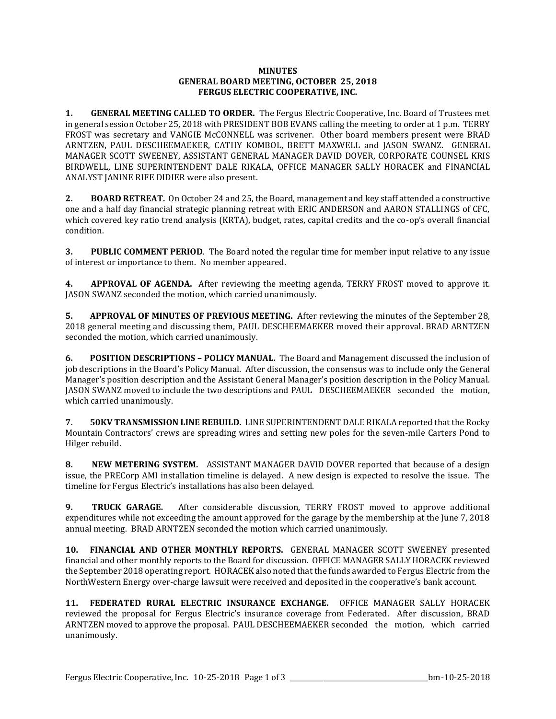## **MINUTES GENERAL BOARD MEETING, OCTOBER 25, 2018 FERGUS ELECTRIC COOPERATIVE, INC.**

**1. GENERAL MEETING CALLED TO ORDER.** The Fergus Electric Cooperative, Inc. Board of Trustees met in general session October 25, 2018 with PRESIDENT BOB EVANS calling the meeting to order at 1 p.m. TERRY FROST was secretary and VANGIE McCONNELL was scrivener. Other board members present were BRAD ARNTZEN, PAUL DESCHEEMAEKER, CATHY KOMBOL, BRETT MAXWELL and JASON SWANZ. GENERAL MANAGER SCOTT SWEENEY, ASSISTANT GENERAL MANAGER DAVID DOVER, CORPORATE COUNSEL KRIS BIRDWELL, LINE SUPERINTENDENT DALE RIKALA, OFFICE MANAGER SALLY HORACEK and FINANCIAL ANALYST JANINE RIFE DIDIER were also present.

**2. BOARD RETREAT.** On October 24 and 25, the Board, management and key staff attended a constructive one and a half day financial strategic planning retreat with ERIC ANDERSON and AARON STALLINGS of CFC, which covered key ratio trend analysis (KRTA), budget, rates, capital credits and the co-op's overall financial condition.

**3. PUBLIC COMMENT PERIOD**. The Board noted the regular time for member input relative to any issue of interest or importance to them. No member appeared.

**4. APPROVAL OF AGENDA.** After reviewing the meeting agenda, TERRY FROST moved to approve it. JASON SWANZ seconded the motion, which carried unanimously.

**5. APPROVAL OF MINUTES OF PREVIOUS MEETING.** After reviewing the minutes of the September 28, 2018 general meeting and discussing them, PAUL DESCHEEMAEKER moved their approval. BRAD ARNTZEN seconded the motion, which carried unanimously.

**6. POSITION DESCRIPTIONS – POLICY MANUAL.** The Board and Management discussed the inclusion of job descriptions in the Board's Policy Manual. After discussion, the consensus was to include only the General Manager's position description and the Assistant General Manager's position description in the Policy Manual. JASON SWANZ moved to include the two descriptions and PAUL DESCHEEMAEKER seconded the motion, which carried unanimously.

**7. 50KV TRANSMISSION LINE REBUILD.** LINE SUPERINTENDENT DALE RIKALA reported that the Rocky Mountain Contractors' crews are spreading wires and setting new poles for the seven-mile Carters Pond to Hilger rebuild.

**8. NEW METERING SYSTEM.** ASSISTANT MANAGER DAVID DOVER reported that because of a design issue, the PRECorp AMI installation timeline is delayed. A new design is expected to resolve the issue. The timeline for Fergus Electric's installations has also been delayed.

**9. TRUCK GARAGE.** After considerable discussion, TERRY FROST moved to approve additional expenditures while not exceeding the amount approved for the garage by the membership at the June 7, 2018 annual meeting. BRAD ARNTZEN seconded the motion which carried unanimously.

**10. FINANCIAL AND OTHER MONTHLY REPORTS.** GENERAL MANAGER SCOTT SWEENEY presented financial and other monthly reports to the Board for discussion. OFFICE MANAGER SALLY HORACEK reviewed the September 2018 operating report. HORACEK also noted that the funds awarded to Fergus Electric from the NorthWestern Energy over-charge lawsuit were received and deposited in the cooperative's bank account.

**11. FEDERATED RURAL ELECTRIC INSURANCE EXCHANGE.** OFFICE MANAGER SALLY HORACEK reviewed the proposal for Fergus Electric's insurance coverage from Federated. After discussion, BRAD ARNTZEN moved to approve the proposal. PAUL DESCHEEMAEKER seconded the motion, which carried unanimously.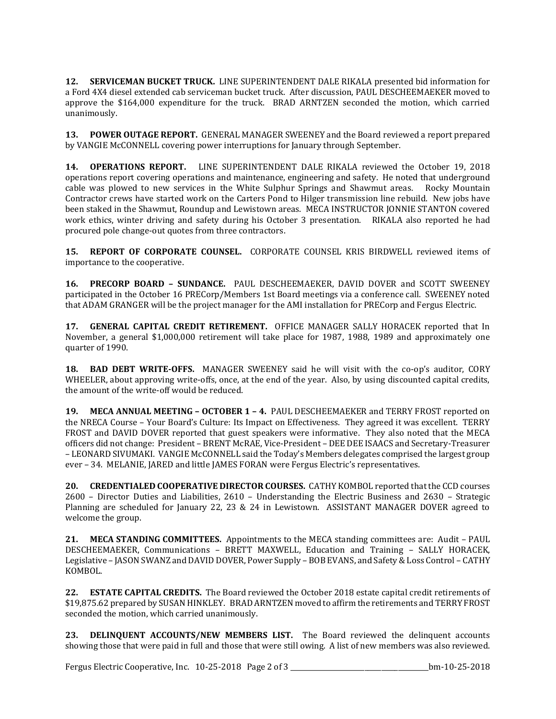**12. SERVICEMAN BUCKET TRUCK.** LINE SUPERINTENDENT DALE RIKALA presented bid information for a Ford 4X4 diesel extended cab serviceman bucket truck. After discussion, PAUL DESCHEEMAEKER moved to approve the \$164,000 expenditure for the truck. BRAD ARNTZEN seconded the motion, which carried unanimously.

**13. POWER OUTAGE REPORT.** GENERAL MANAGER SWEENEY and the Board reviewed a report prepared by VANGIE McCONNELL covering power interruptions for January through September.

**14. OPERATIONS REPORT.** LINE SUPERINTENDENT DALE RIKALA reviewed the October 19, 2018 operations report covering operations and maintenance, engineering and safety. He noted that underground cable was plowed to new services in the White Sulphur Springs and Shawmut areas. Rocky Mountain Contractor crews have started work on the Carters Pond to Hilger transmission line rebuild. New jobs have been staked in the Shawmut, Roundup and Lewistown areas. MECA INSTRUCTOR JONNIE STANTON covered work ethics, winter driving and safety during his October 3 presentation. RIKALA also reported he had procured pole change-out quotes from three contractors.

**15. REPORT OF CORPORATE COUNSEL.** CORPORATE COUNSEL KRIS BIRDWELL reviewed items of importance to the cooperative.

**16. PRECORP BOARD – SUNDANCE.** PAUL DESCHEEMAEKER, DAVID DOVER and SCOTT SWEENEY participated in the October 16 PRECorp/Members 1st Board meetings via a conference call. SWEENEY noted that ADAM GRANGER will be the project manager for the AMI installation for PRECorp and Fergus Electric.

**17. GENERAL CAPITAL CREDIT RETIREMENT.** OFFICE MANAGER SALLY HORACEK reported that In November, a general \$1,000,000 retirement will take place for 1987, 1988, 1989 and approximately one quarter of 1990.

**18. BAD DEBT WRITE-OFFS.** MANAGER SWEENEY said he will visit with the co-op's auditor, CORY WHEELER, about approving write-offs, once, at the end of the year. Also, by using discounted capital credits, the amount of the write-off would be reduced.

**19. MECA ANNUAL MEETING – OCTOBER 1 – 4.** PAUL DESCHEEMAEKER and TERRY FROST reported on the NRECA Course – Your Board's Culture: Its Impact on Effectiveness. They agreed it was excellent. TERRY FROST and DAVID DOVER reported that guest speakers were informative. They also noted that the MECA officers did not change: President – BRENT McRAE, Vice-President – DEE DEE ISAACS and Secretary-Treasurer – LEONARD SIVUMAKI. VANGIE McCONNELL said the Today's Members delegates comprised the largest group ever – 34. MELANIE, JARED and little JAMES FORAN were Fergus Electric's representatives.

**20. CREDENTIALED COOPERATIVE DIRECTOR COURSES.** CATHY KOMBOL reported that the CCD courses 2600 – Director Duties and Liabilities, 2610 – Understanding the Electric Business and 2630 – Strategic Planning are scheduled for January 22, 23 & 24 in Lewistown. ASSISTANT MANAGER DOVER agreed to welcome the group.

**21. MECA STANDING COMMITTEES.** Appointments to the MECA standing committees are: Audit – PAUL DESCHEEMAEKER, Communications – BRETT MAXWELL, Education and Training – SALLY HORACEK, Legislative – JASON SWANZ and DAVID DOVER, Power Supply – BOB EVANS, and Safety & Loss Control – CATHY KOMBOL.

**22. ESTATE CAPITAL CREDITS.** The Board reviewed the October 2018 estate capital credit retirements of \$19,875.62 prepared by SUSAN HINKLEY. BRAD ARNTZEN moved to affirm the retirements and TERRY FROST seconded the motion, which carried unanimously.

**23. DELINQUENT ACCOUNTS/NEW MEMBERS LIST.** The Board reviewed the delinquent accounts showing those that were paid in full and those that were still owing. A list of new members was also reviewed.

Fergus Electric Cooperative, Inc. 10-25-2018 Page 2 of 3 \_\_\_\_\_\_\_\_\_\_\_\_\_\_\_\_\_\_\_\_\_\_\_\_\_\_\_\_\_\_\_\_\_\_\_\_\_\_\_\_\_bm-10-25-2018